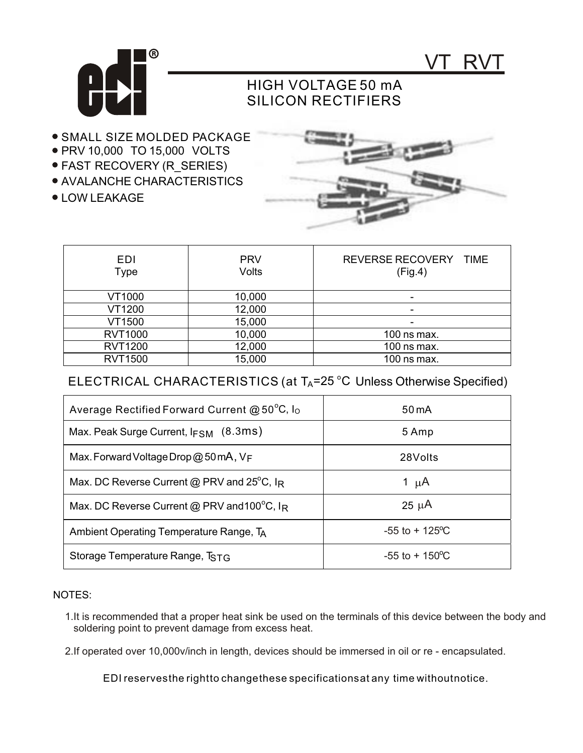



## HIGH VOLTAGE 50 mA SILICON RECTIFIERS

- **.** SMALL SIZE MOLDED PACKAGE
- PRV 10,000 TO 15,000 VOLTS
- FAST RECOVERY (R\_SERIES)
- AVALANCHE CHARACTERISTICS
- LOW LEAKAGE



| <b>EDI</b><br>Type | <b>PRV</b><br><b>Volts</b> | REVERSE RECOVERY TIME<br>(Fig.4) |
|--------------------|----------------------------|----------------------------------|
| VT1000             | 10,000                     |                                  |
| VT1200             | 12,000                     |                                  |
| VT1500             | 15,000                     | -                                |
| <b>RVT1000</b>     | 10,000                     | 100 ns max.                      |
| <b>RVT1200</b>     | 12,000                     | 100 ns max.                      |
| <b>RVT1500</b>     | 15,000                     | 100 ns max.                      |

## ELECTRICAL CHARACTERISTICS (at TA=25 °C Unless Otherwise Specified)

| Average Rectified Forward Current $@50^{\circ}C$ , $I_0$         | 50 mA                     |
|------------------------------------------------------------------|---------------------------|
| Max. Peak Surge Current, $I_{FSM}$ (8.3ms)                       | 5 Amp                     |
| Max. Forward Voltage Drop @ 50 mA, $V_F$                         | 28Volts                   |
| Max. DC Reverse Current @ PRV and $25^{\circ}$ C, I <sub>R</sub> | 1 $\mu$ A                 |
| Max. DC Reverse Current @ PRV and 100 $^{\circ}$ C, IR           | $25 \mu A$                |
| Ambient Operating Temperature Range, TA                          | $-55$ to $+125$ °C        |
| Storage Temperature Range, TSTG                                  | $-55$ to $+150^{\circ}$ C |

## NOTES:

- 1.It is recommended that a proper heat sink be used on the terminals of this device between the body and soldering point to prevent damage from excess heat.
- 2.If operated over 10,000v/inch in length, devices should be immersed in oil or re encapsulated.

EDI reservesthe rightto changethese specificationsat any time withoutnotice.